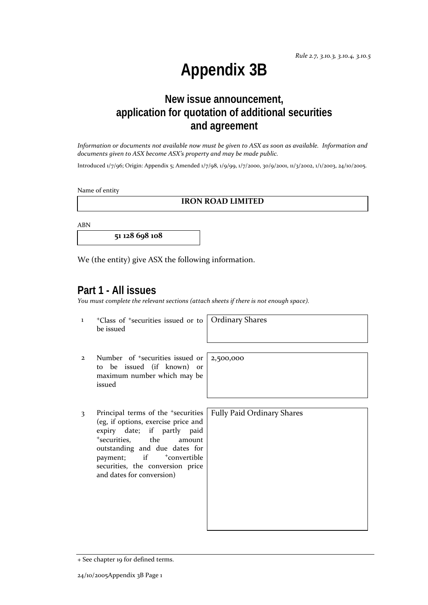# **Appendix 3B**

## **New issue announcement, application for quotation of additional securities and agreement**

*Information or documents not available now must be given to ASX as soon as available. Information and documents given to ASX become ASX's property and may be made public.*

Introduced 1/7/96; Origin: Appendix 5; Amended 1/7/98, 1/9/99, 1/7/2000, 30/9/2001, 11/3/2002, 1/1/2003, 24/10/2005.

Name of entity

### **IRON ROAD LIMITED**

ABN

**51 128 698 108**

We (the entity) give ASX the following information.

## **Part 1 - All issues**

*You must complete the relevant sections (attach sheets if there is not enough space).*

1 +Class of +securities issued or to be issued

Ordinary Shares

2,500,000

- 2 Number of +securities issued or to be issued (if known) or maximum number which may be issued
- 3 Principal terms of the <sup>+</sup>securities (eg, if options, exercise price and expiry date; if partly paid <sup>+</sup>securities, the amount outstanding and due dates for payment; if  $+$ convertible securities, the conversion price and dates for conversion)

| Fully Paid Ordinary Shares |
|----------------------------|
|                            |
|                            |
|                            |
|                            |
|                            |
|                            |
|                            |
|                            |
|                            |
|                            |
|                            |

<sup>+</sup> See chapter 19 for defined terms.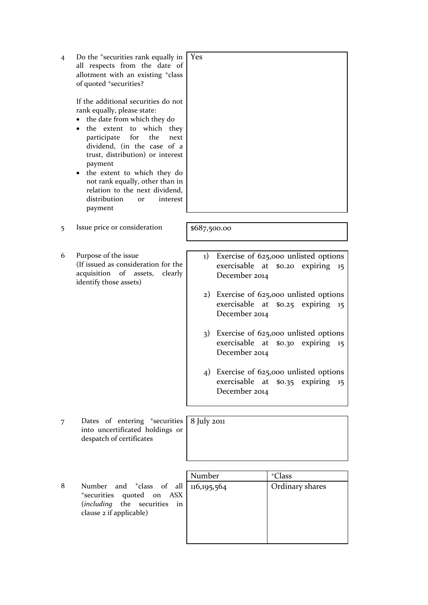| 4 | Do the <sup>+</sup> securities rank equally in<br>all respects from the date of<br>allotment with an existing <sup>+</sup> class<br>of quoted <sup>+</sup> securities?<br>If the additional securities do not<br>rank equally, please state:<br>the date from which they do<br>the extent to which they<br>$\bullet$<br>participate<br>for<br>the<br>next<br>dividend, (in the case of a<br>trust, distribution) or interest<br>payment<br>the extent to which they do<br>$\bullet$<br>not rank equally, other than in<br>relation to the next dividend,<br>distribution<br>interest<br><b>or</b><br>payment | Yes                                                                                                                                                                                                                                                                                                                                                                                                                                         |  |  |
|---|--------------------------------------------------------------------------------------------------------------------------------------------------------------------------------------------------------------------------------------------------------------------------------------------------------------------------------------------------------------------------------------------------------------------------------------------------------------------------------------------------------------------------------------------------------------------------------------------------------------|---------------------------------------------------------------------------------------------------------------------------------------------------------------------------------------------------------------------------------------------------------------------------------------------------------------------------------------------------------------------------------------------------------------------------------------------|--|--|
|   |                                                                                                                                                                                                                                                                                                                                                                                                                                                                                                                                                                                                              |                                                                                                                                                                                                                                                                                                                                                                                                                                             |  |  |
| 5 | Issue price or consideration                                                                                                                                                                                                                                                                                                                                                                                                                                                                                                                                                                                 | \$687,500.00                                                                                                                                                                                                                                                                                                                                                                                                                                |  |  |
|   |                                                                                                                                                                                                                                                                                                                                                                                                                                                                                                                                                                                                              |                                                                                                                                                                                                                                                                                                                                                                                                                                             |  |  |
| 6 | Purpose of the issue<br>(If issued as consideration for the<br>of assets,<br>acquisition<br>clearly<br>identify those assets)                                                                                                                                                                                                                                                                                                                                                                                                                                                                                | Exercise of 625,000 unlisted options<br>$_{1}$<br>exercisable<br>\$0.20 expiring<br>at<br>15<br>December 2014<br>Exercise of 625,000 unlisted options<br>2)<br>exercisable at<br>\$0.25 expiring<br>15<br>December 2014<br>3) Exercise of 625,000 unlisted options<br>exercisable<br>\$0.30 expiring<br>at<br>15<br>December 2014<br>4) Exercise of 625,000 unlisted options<br>exercisable<br>\$0.35 expiring<br>at<br>15<br>December 2014 |  |  |
| 7 | Dates of entering <sup>+</sup> securities                                                                                                                                                                                                                                                                                                                                                                                                                                                                                                                                                                    | 8 July 2011                                                                                                                                                                                                                                                                                                                                                                                                                                 |  |  |
|   | into uncertificated holdings or<br>despatch of certificates                                                                                                                                                                                                                                                                                                                                                                                                                                                                                                                                                  |                                                                                                                                                                                                                                                                                                                                                                                                                                             |  |  |
|   |                                                                                                                                                                                                                                                                                                                                                                                                                                                                                                                                                                                                              |                                                                                                                                                                                                                                                                                                                                                                                                                                             |  |  |
| 8 | <sup>+</sup> class<br>Number<br>and<br>of<br>all<br><sup>+</sup> securities<br>quoted<br>ASX<br>on<br>including)<br>the<br>securities<br>in<br>clause 2 if applicable)                                                                                                                                                                                                                                                                                                                                                                                                                                       | Number<br><sup>+</sup> Class<br>116, 195, 564<br>Ordinary shares                                                                                                                                                                                                                                                                                                                                                                            |  |  |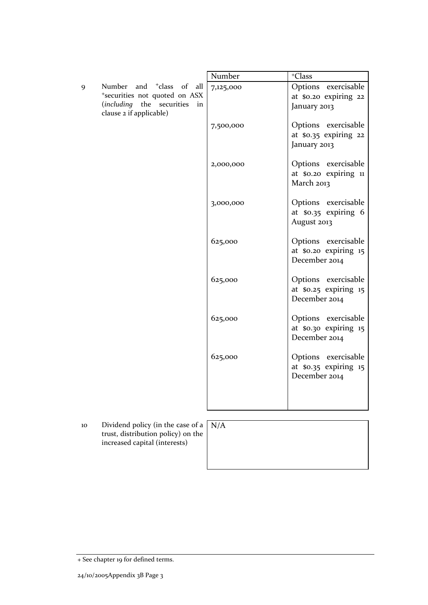|   |                                                                                                                                                   | Number    | <sup>+</sup> Class                                            |
|---|---------------------------------------------------------------------------------------------------------------------------------------------------|-----------|---------------------------------------------------------------|
| 9 | Number and <sup>+</sup> class<br>$\circ$ of<br>all<br>*securities not quoted on ASX<br>(including the securities<br>in<br>clause 2 if applicable) | 7,125,000 | Options exercisable<br>at \$0.20 expiring 22<br>January 2013  |
|   |                                                                                                                                                   | 7,500,000 | Options exercisable<br>at \$0.35 expiring 22<br>January 2013  |
|   |                                                                                                                                                   | 2,000,000 | Options exercisable<br>at \$0.20 expiring 11<br>March 2013    |
|   |                                                                                                                                                   | 3,000,000 | Options exercisable<br>at \$0.35 expiring 6<br>August 2013    |
|   |                                                                                                                                                   | 625,000   | Options exercisable<br>at \$0.20 expiring 15<br>December 2014 |
|   |                                                                                                                                                   | 625,000   | Options exercisable<br>at \$0.25 expiring 15<br>December 2014 |
|   |                                                                                                                                                   | 625,000   | Options exercisable<br>at \$0.30 expiring 15<br>December 2014 |
|   |                                                                                                                                                   | 625,000   | Options exercisable<br>at \$0.35 expiring 15<br>December 2014 |
|   |                                                                                                                                                   |           |                                                               |
|   |                                                                                                                                                   |           |                                                               |
|   | $\mathbf{1}$ $\mathbf{1}$ $\mathbf{1}$ $\mathbf{1}$<br>$\cdot$                                                                                    |           |                                                               |

10 Dividend policy (in the case of a N/Atrust, distribution policy) on the increased capital (interests)

<sup>+</sup> See chapter 19 for defined terms.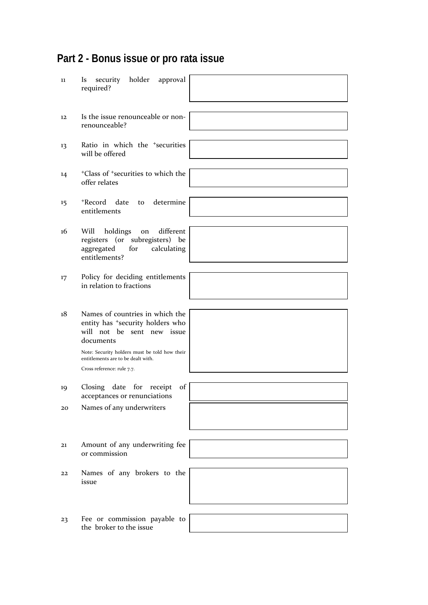## **Part 2 - Bonus issue or pro rata issue**

| 11      | security<br>holder<br>approval<br><i>ls</i><br>required?                                                                                                                                                          |  |
|---------|-------------------------------------------------------------------------------------------------------------------------------------------------------------------------------------------------------------------|--|
| 12      | Is the issue renounceable or non-<br>renounceable?                                                                                                                                                                |  |
| 13      | Ratio in which the <sup>+</sup> securities<br>will be offered                                                                                                                                                     |  |
| 14      | <sup>+</sup> Class of <sup>+</sup> securities to which the<br>offer relates                                                                                                                                       |  |
| $15 \,$ | +Record<br>date<br>determine<br>to<br>entitlements                                                                                                                                                                |  |
| 16      | different<br>Will<br>holdings<br>on<br>registers (or subregisters) be<br>aggregated<br>calculating<br>for<br>entitlements?                                                                                        |  |
| 17      | Policy for deciding entitlements<br>in relation to fractions                                                                                                                                                      |  |
| 18      | Names of countries in which the<br>entity has <sup>+</sup> security holders who<br>will not be sent new issue<br>documents<br>Note: Security holders must be told how their<br>entitlements are to be dealt with. |  |
|         | Cross reference: rule 7.7.                                                                                                                                                                                        |  |
| 19      | Closing date for receipt of<br>acceptances or renunciations                                                                                                                                                       |  |
| 20      | Names of any underwriters                                                                                                                                                                                         |  |
| 21      | Amount of any underwriting fee<br>or commission                                                                                                                                                                   |  |
| 22      | Names of any brokers to the<br>issue                                                                                                                                                                              |  |
| 23      | Fee or commission payable to<br>the broker to the issue                                                                                                                                                           |  |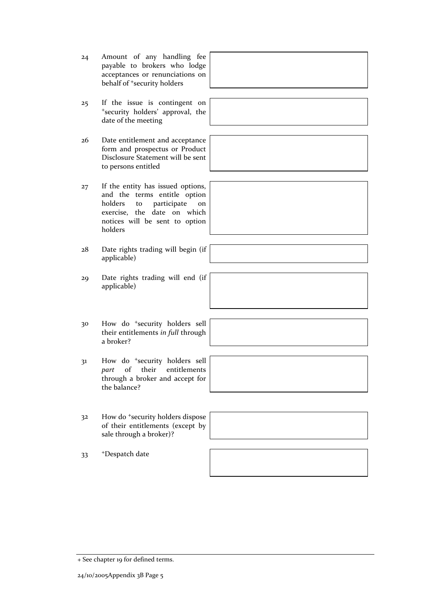- 30 How do <sup>+</sup>security holders sell their entitlements *in full* through
	- a broker?
	- 31 How do <sup>+</sup>security holders sell *part* of their entitlements through a broker and accept for the balance?
	- 32 How do <sup>+</sup>security holders dispose of their entitlements (except by sale through a broker)?

33 +Despatch date



- 25 If the issue is contingent on <sup>+</sup>security holders' approval, the date of the meeting
- 26 Date entitlement and acceptance form and prospectus or Product Disclosure Statement will be sent to persons entitled
- 27 If the entity has issued options, and the terms entitle option holders to participate on exercise, the date on which notices will be sent to option holders
- 28 Date rights trading will begin (if applicable)
- 29 Date rights trading will end (if applicable)

<sup>+</sup> See chapter 19 for defined terms.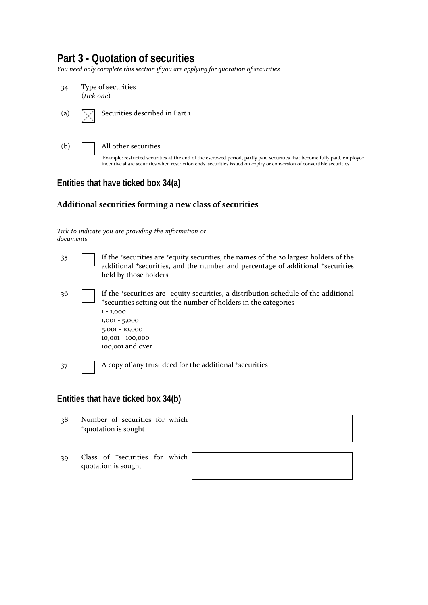## **Part 3 - Quotation of securities**

*You need only complete this section if you are applying for quotation of securities*



## **Entities that have ticked box 34(a)**

#### **Additional securities forming a new class of securities**

*Tick to indicate you are providing the information or documents*

| 35  | If the 'securities are 'equity securities, the names of the 20 largest holders of the<br>additional <sup>+</sup> securities, and the number and percentage of additional <sup>+</sup> securities<br>held by those holders                                           |
|-----|---------------------------------------------------------------------------------------------------------------------------------------------------------------------------------------------------------------------------------------------------------------------|
| -36 | If the <i>*securities</i> are <i>*equity</i> securities, a distribution schedule of the additional<br>*securities setting out the number of holders in the categories<br>$1 - 1,000$<br>$1,001 - 5,000$<br>$5,001 - 10,000$<br>10,001 - 100,000<br>100,001 and over |
| 37  | A copy of any trust deed for the additional +securities                                                                                                                                                                                                             |

## **Entities that have ticked box 34(b)**

- 38 Number of securities for which <sup>+</sup>quotation is sought
- 39 Class of <sup>+</sup>securities for which quotation is sought

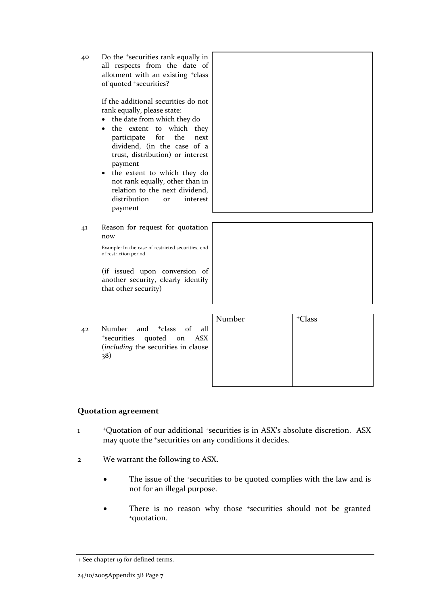40 Do the <sup>+</sup>securities rank equally in all respects from the date of allotment with an existing <sup>+</sup>class of quoted <sup>+</sup>securities?

> If the additional securities do not rank equally, please state:

- the date from which they do
- the extent to which they participate for the next dividend, (in the case of a trust, distribution) or interest payment
- the extent to which they do not rank equally, other than in relation to the next dividend, distribution or interest payment
- 41 Reason for request for quotation now

Example: In the case of restricted securities, end of restriction period

(if issued upon conversion of another security, clearly identify that other security)

42 Number and <sup>+</sup>class of all <sup>+</sup>securities quoted on ASX (*including* the securities in clause 38)

| Number | <sup>+</sup> Class |  |
|--------|--------------------|--|
|        |                    |  |
|        |                    |  |
|        |                    |  |
|        |                    |  |
|        |                    |  |

### **Quotation agreement**

- 1 <sup>+</sup>Quotation of our additional +securities is in ASX's absolute discretion. ASX may quote the +securities on any conditions it decides.
- 2 We warrant the following to ASX.
	- The issue of the +securities to be quoted complies with the law and is not for an illegal purpose.
	- There is no reason why those +securities should not be granted +quotation.

<sup>+</sup> See chapter 19 for defined terms.